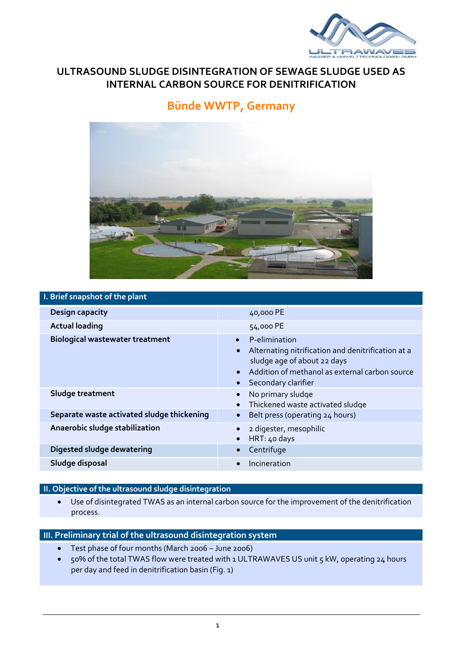

# **ULTRASOUND SLUDGE DISINTEGRATION OF SEWAGE SLUDGE USED AS INTERNAL CARBON SOURCE FOR DENITRIFICATION**

# **Bünde WWTP, Germany**



### **I. Brief snapshot of the plant**

| <b>Design capacity</b>                     | 40,000 PE                                                                                                                                                                                                                       |
|--------------------------------------------|---------------------------------------------------------------------------------------------------------------------------------------------------------------------------------------------------------------------------------|
| <b>Actual loading</b>                      | 54,000 PE                                                                                                                                                                                                                       |
| <b>Biological wastewater treatment</b>     | P-elimination<br>$\bullet$<br>Alternating nitrification and denitrification at a<br>$\bullet$<br>sludge age of about 22 days<br>Addition of methanol as external carbon source<br>$\bullet$<br>Secondary clarifier<br>$\bullet$ |
| Sludge treatment                           | No primary sludge<br>$\bullet$<br>Thickened waste activated sludge<br>$\bullet$                                                                                                                                                 |
| Separate waste activated sludge thickening | Belt press (operating 24 hours)<br>$\bullet$                                                                                                                                                                                    |
| Anaerobic sludge stabilization             | 2 digester, mesophilic<br>$\bullet$<br>HRT: $40$ days<br>$\bullet$                                                                                                                                                              |
| Digested sludge dewatering                 | Centrifuge<br>$\bullet$                                                                                                                                                                                                         |
| Sludge disposal                            | Incineration<br>$\bullet$                                                                                                                                                                                                       |
|                                            |                                                                                                                                                                                                                                 |

### **II. Objective of the ultrasound sludge disintegration**

 Use of disintegrated TWAS as an internal carbon source for the improvement of the denitrification process.

# **III. Preliminary trial of the ultrasound disintegration system**

- Test phase of four months (March 2006 June 2006)
- 50% of the total TWAS flow were treated with 1 ULTRAWAVES US unit 5 kW, operating 24 hours per day and feed in denitrification basin (Fig. 1)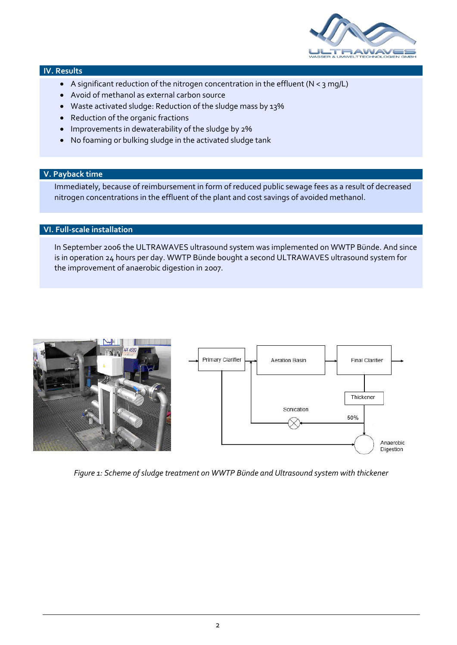

#### **IV. Results**

- A significant reduction of the nitrogen concentration in the effluent (N < 3 mg/L)
- Avoid of methanol as external carbon source
- Waste activated sludge: Reduction of the sludge mass by 13%
- Reduction of the organic fractions
- Improvements in dewaterability of the sludge by 2%
- No foaming or bulking sludge in the activated sludge tank

### **V. Payback time**

Immediately, because of reimbursement in form of reduced public sewage fees as a result of decreased nitrogen concentrations in the effluent of the plant and cost savings of avoided methanol.

## **VI. Full-scale installation**

In September 2006 the ULTRAWAVES ultrasound system was implemented on WWTP Bünde. And since is in operation 24 hours per day. WWTP Bünde bought a second ULTRAWAVES ultrasound system for the improvement of anaerobic digestion in 2007.



*Figure 1: Scheme of sludge treatment on WWTP Bünde and Ultrasound system with thickener*